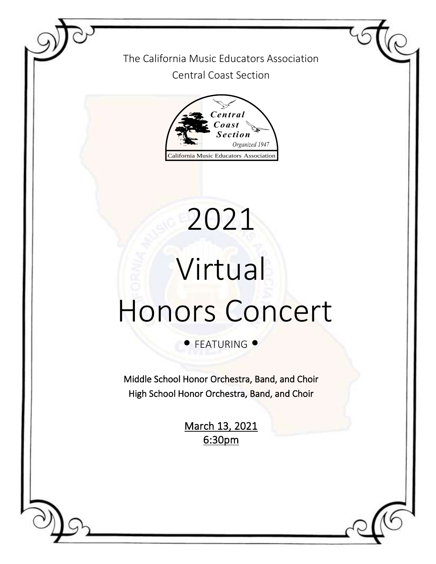The California Music Educators Association Central Coast Section



# Virtual Honors Concert

2021

**• FEATURING •** 

Middle School Honor Orchestra, Band, and Choir High School Honor Orchestra, Band, and Choir

> March 13, 2021 6:30pm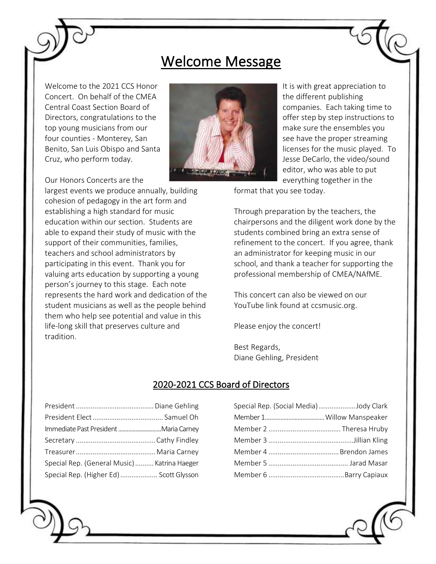# Welcome Message

Welcome to the 2021 CCS Honor Concert. On behalf of the CMEA Central Coast Section Board of Directors, congratulations to the top young musicians from our four counties - Monterey, San Benito, San Luis Obispo and Santa Cruz, who perform today.

Our Honors Concerts are the

largest events we produce annually, building cohesion of pedagogy in the art form and establishing a high standard for music education within our section. Students are able to expand their study of music with the support of their communities, families, teachers and school administrators by participating in this event. Thank you for valuing arts education by supporting a young person's journey to this stage. Each note represents the hard work and dedication of the student musicians as well as the people behind them who help see potential and value in this life-long skill that preserves culture and tradition.



It is with great appreciation to the different publishing companies. Each taking time to offer step by step instructions to make sure the ensembles you see have the proper streaming licenses for the music played. To Jesse DeCarlo, the video/sound editor, who was able to put everything together in the

format that you see today.

Through preparation by the teachers, the chairpersons and the diligent work done by the students combined bring an extra sense of refinement to the concert. If you agree, thank an administrator for keeping music in our school, and thank a teacher for supporting the professional membership of CMEA/NAfME.

This concert can also be viewed on our YouTube link found at ccsmusic.org.

Please enjoy the concert!

Best Regards, Diane Gehling, President

### 2020-2021 CCS Board of Directors

| Special Rep. (General Music)  Katrina Haeger |  |
|----------------------------------------------|--|
| Special Rep. (Higher Ed)  Scott Glysson      |  |

| Special Rep. (Social Media)Jody Clark |  |
|---------------------------------------|--|
|                                       |  |
|                                       |  |
|                                       |  |
|                                       |  |
|                                       |  |
|                                       |  |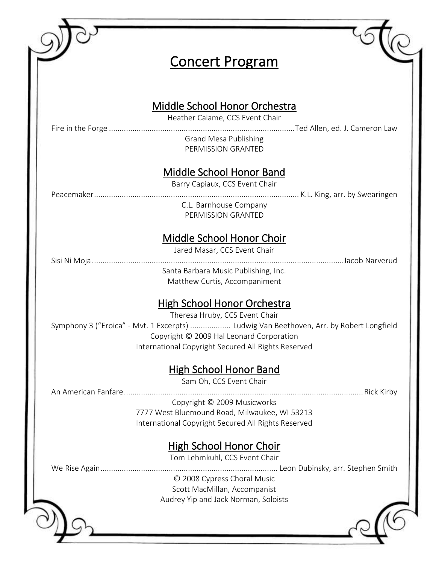| <b>Concert Program</b>                                                                                                                                                                                                                                             |  |
|--------------------------------------------------------------------------------------------------------------------------------------------------------------------------------------------------------------------------------------------------------------------|--|
| Middle School Honor Orchestra                                                                                                                                                                                                                                      |  |
| Heather Calame, CCS Event Chair<br><b>Grand Mesa Publishing</b><br>PERMISSION GRANTED                                                                                                                                                                              |  |
| Middle School Honor Band<br>Barry Capiaux, CCS Event Chair                                                                                                                                                                                                         |  |
| C.L. Barnhouse Company<br>PERMISSION GRANTED                                                                                                                                                                                                                       |  |
| Middle School Honor Choir<br>Jared Masar, CCS Event Chair                                                                                                                                                                                                          |  |
| Santa Barbara Music Publishing, Inc.<br>Matthew Curtis, Accompaniment                                                                                                                                                                                              |  |
| <b>High School Honor Orchestra</b><br>Theresa Hruby, CCS Event Chair<br>Symphony 3 ("Eroica" - Mvt. 1 Excerpts)  Ludwig Van Beethoven, Arr. by Robert Longfield<br>Copyright © 2009 Hal Leonard Corporation<br>International Copyright Secured All Rights Reserved |  |
| <b>High School Honor Band</b><br>Sam Oh, CCS Event Chair                                                                                                                                                                                                           |  |
| Copyright © 2009 Musicworks<br>7777 West Bluemound Road, Milwaukee, WI 53213<br>International Copyright Secured All Rights Reserved                                                                                                                                |  |
| <b>High School Honor Choir</b><br>Tom Lehmkuhl, CCS Event Chair                                                                                                                                                                                                    |  |
| © 2008 Cypress Choral Music<br>Scott MacMillan, Accompanist<br>Audrey Yip and Jack Norman, Soloists                                                                                                                                                                |  |
|                                                                                                                                                                                                                                                                    |  |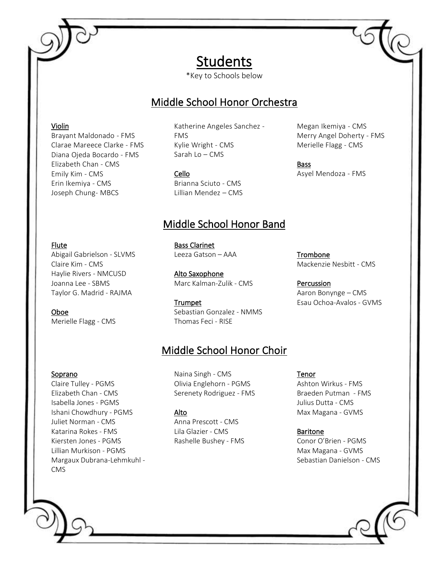# Students

\*Key to Schools below

## Middle School Honor Orchestra

#### Violin

Brayant Maldonado - FMS Clarae Mareece Clarke - FMS Diana Ojeda Bocardo - FMS Elizabeth Chan - CMS Emily Kim - CMS Erin Ikemiya - CMS Joseph Chung- MBCS

Katherine Angeles Sanchez - FMS Kylie Wright - CMS Sarah Lo – CMS

#### Cello

Brianna Sciuto - CMS Lillian Mendez – CMS

## Middle School Honor Band

#### Flute

Abigail Gabrielson - SLVMS Claire Kim - CMS Haylie Rivers - NMCUSD Joanna Lee - SBMS Taylor G. Madrid - RAJMA

#### Oboe

Merielle Flagg - CMS

Bass Clarinet

Leeza Gatson – AAA

Alto Saxophone Marc Kalman-Zulik - CMS

Trumpet Sebastian Gonzalez - NMMS Thomas Feci - RISE

# Middle School Honor Choir

#### Soprano

Claire Tulley - PGMS Elizabeth Chan - CMS Isabella Jones - PGMS Ishani Chowdhury - PGMS Juliet Norman - CMS Katarina Rokes - FMS Kiersten Jones - PGMS Lillian Murkison - PGMS Margaux Dubrana-Lehmkuhl - CMS

#### Naina Singh - CMS Olivia Englehorn - PGMS Serenety Rodriguez - FMS

#### Alto

Anna Prescott - CMS Lila Glazier - CMS Rashelle Bushey - FMS Tenor

Ashton Wirkus - FMS Braeden Putman - FMS Julius Dutta - CMS Max Magana - GVMS

#### Baritone

Conor O'Brien - PGMS Max Magana - GVMS Sebastian Danielson - CMS

Trombone Mackenzie Nesbitt - CMS

Percussion Aaron Bonynge – CMS Esau Ochoa-Avalos - GVMS

Megan Ikemiya - CMS Merry Angel Doherty - FMS Merielle Flagg - CMS

Asyel Mendoza - FMS

Bass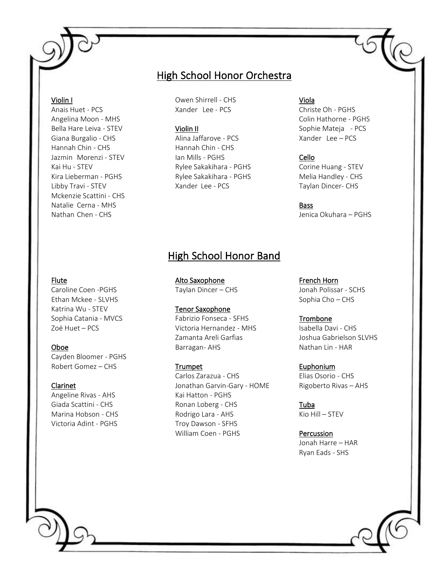#### Violin I

Ï

Anais Huet - PCS Angelina Moon - MHS Bella Hare Leiva - STEV Giana Burgalio - CHS Hannah Chin - CHS Jazmin Morenzi - STEV Kai Hu - STEV Kira Lieberman - PGHS Libby Travi - STEV Mckenzie Scattini - CHS Natalie Cerna - MHS Nathan Chen - CHS

## High School Honor Orchestra

Owen Shirrell - CHS Xander Lee - PCS

#### Violin II

Alina Jaffarove - PCS Hannah Chin - CHS Ian Mills - PGHS Rylee Sakakihara - PGHS Rylee Sakakihara - PGHS Xander Lee - PCS

#### Viola

Christe Oh - PGHS Colin Hathorne - PGHS Sophie Mateja - PCS Xander Lee – PCS

#### Cello

Corine Huang - STEV Melia Handley - CHS Taylan Dincer- CHS

**Bass** Jenica Okuhara – PGHS

#### Flute

Caroline Coen -PGHS Ethan Mckee - SLVHS Katrina Wu - STEV Sophia Catania - MVCS Zoë Huet – PCS

#### Oboe

Cayden Bloomer - PGHS Robert Gomez – CHS

#### Clarinet

Angeline Rivas - AHS Giada Scattini - CHS Marina Hobson - CHS Victoria Adint - PGHS

Alto Saxophone Taylan Dincer – CHS

#### Tenor Saxophone

Fabrizio Fonseca - SFHS Victoria Hernandez - MHS Zamanta Areli Garfias Barragan- AHS

High School Honor Band

#### Trumpet

Carlos Zarazua - CHS Jonathan Garvin-Gary - HOME Kai Hatton - PGHS Ronan Loberg - CHS Rodrigo Lara - AHS Troy Dawson - SFHS William Coen - PGHS

French Horn Jonah Polissar - SCHS Sophia Cho – CHS

#### Trombone

Isabella Davi - CHS Joshua Gabrielson SLVHS Nathan Lin - HAR

#### Euphonium

Elias Osorio - CHS Rigoberto Rivas – AHS

Tuba Kio Hill – STEV

Percussion Jonah Harre – HAR Ryan Eads - SHS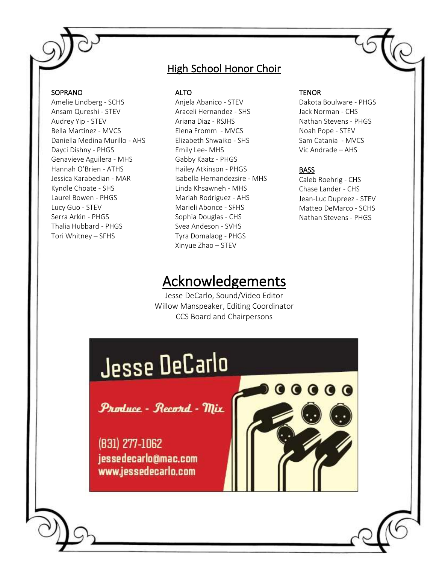#### SOPRANO

Amelie Lindberg - SCHS Ansam Qureshi - STEV Audrey Yip - STEV Bella Martinez - MVCS Daniella Medina Murillo - AHS Dayci Dishny - PHGS Genavieve Aguilera - MHS Hannah O'Brien - ATHS Jessica Karabedian - MAR Kyndle Choate - SHS Laurel Bowen - PHGS Lucy Guo - STEV Serra Arkin - PHGS Thalia Hubbard - PHGS Tori Whitney – SFHS

## **High School Honor Choir**

ALTO

Anjela Abanico - STEV Araceli Hernandez - SHS Ariana Diaz - RSJHS Elena Fromm - MVCS Elizabeth Shwaiko - SHS Emily Lee- MHS Gabby Kaatz - PHGS Hailey Atkinson - PHGS Isabella Hernandezsire - MHS Linda Khsawneh - MHS Mariah Rodriguez - AHS Marieli Abonce - SFHS Sophia Douglas - CHS Svea Andeson - SVHS Tyra Domalaog - PHGS Xinyue Zhao – STEV

# Acknowledgements

Jesse DeCarlo, Sound/Video Editor Willow Manspeaker, Editing Coordinator CCS Board and Chairpersons

#### **TENOR**

Dakota Boulware - PHGS Jack Norman - CHS Nathan Stevens - PHGS Noah Pope - STEV Sam Catania - MVCS Vic Andrade – AHS

#### **BASS**

**.....** 

Caleb Roehrig - CHS Chase Lander - CHS Jean-Luc Dupreez - STEV Matteo DeMarco - SCHS Nathan Stevens - PHGS

# Jesse DeCarlo

Produce - Record - Mix

(831) 277-1062 jessedecarlo@mac.com www.jessedecarlo.com